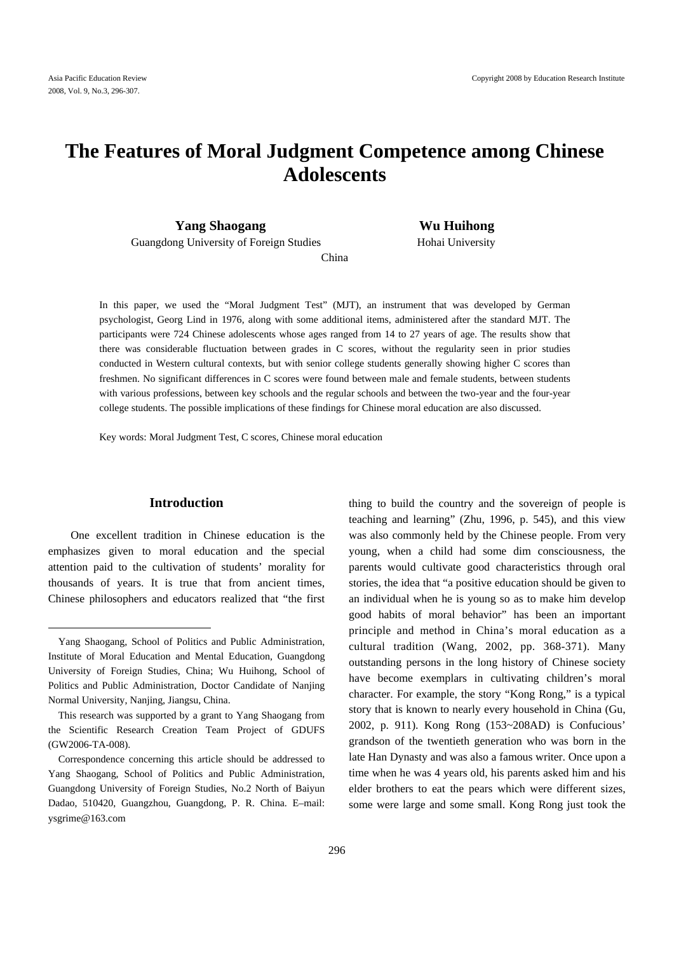## **The Features of Moral Judgment Competence among Chinese Adolescents**

**Yang Shaogang Wu Huihong** 

Guangdong University of Foreign Studies Hohai University

China

In this paper, we used the "Moral Judgment Test" (MJT), an instrument that was developed by German psychologist, Georg Lind in 1976, along with some additional items, administered after the standard MJT. The participants were 724 Chinese adolescents whose ages ranged from 14 to 27 years of age. The results show that there was considerable fluctuation between grades in C scores, without the regularity seen in prior studies conducted in Western cultural contexts, but with senior college students generally showing higher C scores than freshmen. No significant differences in C scores were found between male and female students, between students with various professions, between key schools and the regular schools and between the two-year and the four-year college students. The possible implications of these findings for Chinese moral education are also discussed.

Key words: Moral Judgment Test, C scores, Chinese moral education

### **Introduction**

One excellent tradition in Chinese education is the emphasizes given to moral education and the special attention paid to the cultivation of students' morality for thousands of years. It is true that from ancient times, Chinese philosophers and educators realized that "the first

 $\overline{a}$ 

thing to build the country and the sovereign of people is teaching and learning" (Zhu, 1996, p. 545), and this view was also commonly held by the Chinese people. From very young, when a child had some dim consciousness, the parents would cultivate good characteristics through oral stories, the idea that "a positive education should be given to an individual when he is young so as to make him develop good habits of moral behavior" has been an important principle and method in China's moral education as a cultural tradition (Wang, 2002, pp. 368-371). Many outstanding persons in the long history of Chinese society have become exemplars in cultivating children's moral character. For example, the story "Kong Rong," is a typical story that is known to nearly every household in China (Gu, 2002, p. 911). Kong Rong (153~208AD) is Confucious' grandson of the twentieth generation who was born in the late Han Dynasty and was also a famous writer. Once upon a time when he was 4 years old, his parents asked him and his elder brothers to eat the pears which were different sizes, some were large and some small. Kong Rong just took the

Yang Shaogang, School of Politics and Public Administration, Institute of Moral Education and Mental Education, Guangdong University of Foreign Studies, China; Wu Huihong, School of Politics and Public Administration, Doctor Candidate of Nanjing Normal University, Nanjing, Jiangsu, China.

This research was supported by a grant to Yang Shaogang from the Scientific Research Creation Team Project of GDUFS (GW2006-TA-008).

Correspondence concerning this article should be addressed to Yang Shaogang, School of Politics and Public Administration, Guangdong University of Foreign Studies, No.2 North of Baiyun Dadao, 510420, Guangzhou, Guangdong, P. R. China. E–mail: ysgrime@163.com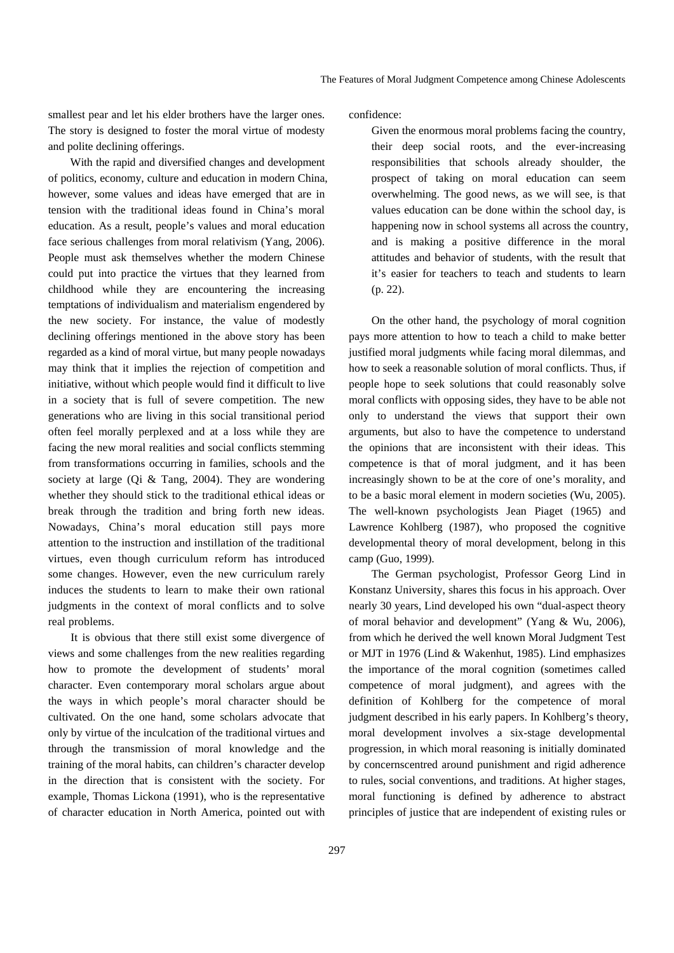smallest pear and let his elder brothers have the larger ones. The story is designed to foster the moral virtue of modesty and polite declining offerings.

With the rapid and diversified changes and development of politics, economy, culture and education in modern China, however, some values and ideas have emerged that are in tension with the traditional ideas found in China's moral education. As a result, people's values and moral education face serious challenges from moral relativism (Yang, 2006). People must ask themselves whether the modern Chinese could put into practice the virtues that they learned from childhood while they are encountering the increasing temptations of individualism and materialism engendered by the new society. For instance, the value of modestly declining offerings mentioned in the above story has been regarded as a kind of moral virtue, but many people nowadays may think that it implies the rejection of competition and initiative, without which people would find it difficult to live in a society that is full of severe competition. The new generations who are living in this social transitional period often feel morally perplexed and at a loss while they are facing the new moral realities and social conflicts stemming from transformations occurring in families, schools and the society at large (Qi & Tang, 2004). They are wondering whether they should stick to the traditional ethical ideas or break through the tradition and bring forth new ideas. Nowadays, China's moral education still pays more attention to the instruction and instillation of the traditional virtues, even though curriculum reform has introduced some changes. However, even the new curriculum rarely induces the students to learn to make their own rational judgments in the context of moral conflicts and to solve real problems.

It is obvious that there still exist some divergence of views and some challenges from the new realities regarding how to promote the development of students' moral character. Even contemporary moral scholars argue about the ways in which people's moral character should be cultivated. On the one hand, some scholars advocate that only by virtue of the inculcation of the traditional virtues and through the transmission of moral knowledge and the training of the moral habits, can children's character develop in the direction that is consistent with the society. For example, Thomas Lickona (1991), who is the representative of character education in North America, pointed out with

confidence:

Given the enormous moral problems facing the country, their deep social roots, and the ever-increasing responsibilities that schools already shoulder, the prospect of taking on moral education can seem overwhelming. The good news, as we will see, is that values education can be done within the school day, is happening now in school systems all across the country, and is making a positive difference in the moral attitudes and behavior of students, with the result that it's easier for teachers to teach and students to learn (p. 22).

On the other hand, the psychology of moral cognition pays more attention to how to teach a child to make better justified moral judgments while facing moral dilemmas, and how to seek a reasonable solution of moral conflicts. Thus, if people hope to seek solutions that could reasonably solve moral conflicts with opposing sides, they have to be able not only to understand the views that support their own arguments, but also to have the competence to understand the opinions that are inconsistent with their ideas. This competence is that of moral judgment, and it has been increasingly shown to be at the core of one's morality, and to be a basic moral element in modern societies (Wu, 2005). The well-known psychologists Jean Piaget (1965) and Lawrence Kohlberg (1987), who proposed the cognitive developmental theory of moral development, belong in this camp (Guo, 1999).

The German psychologist, Professor Georg Lind in Konstanz University, shares this focus in his approach. Over nearly 30 years, Lind developed his own "dual-aspect theory of moral behavior and development" (Yang & Wu, 2006), from which he derived the well known Moral Judgment Test or MJT in 1976 (Lind & Wakenhut, 1985). Lind emphasizes the importance of the moral cognition (sometimes called competence of moral judgment), and agrees with the definition of Kohlberg for the competence of moral judgment described in his early papers. In Kohlberg's theory, moral development involves a six-stage developmental progression, in which moral reasoning is initially dominated by concernscentred around punishment and rigid adherence to rules, social conventions, and traditions. At higher stages, moral functioning is defined by adherence to abstract principles of justice that are independent of existing rules or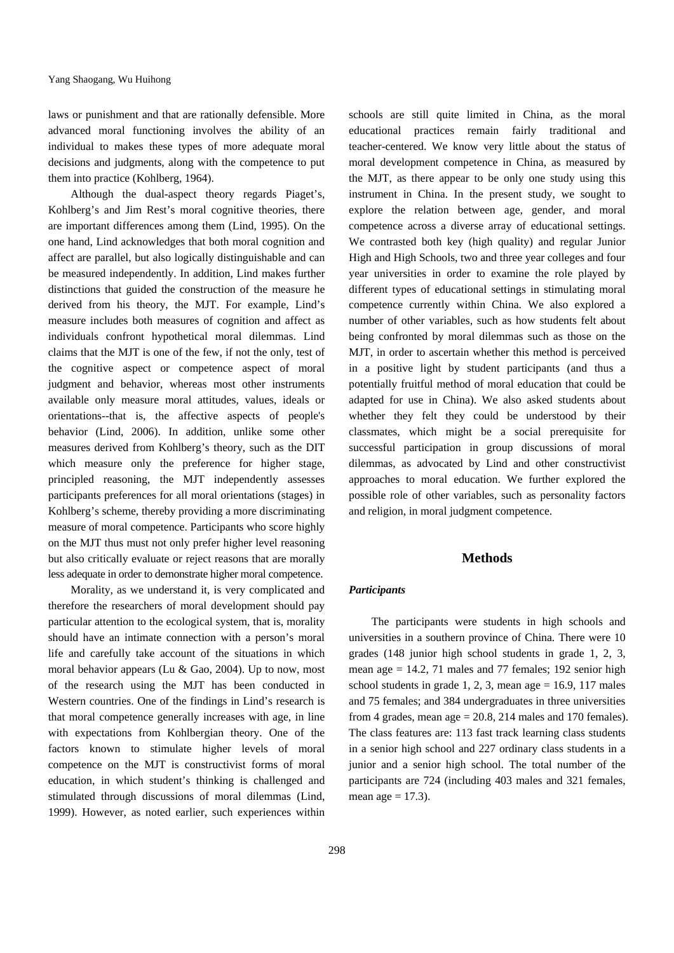laws or punishment and that are rationally defensible. More advanced moral functioning involves the ability of an individual to makes these types of more adequate moral decisions and judgments, along with the competence to put them into practice (Kohlberg, 1964).

Although the dual-aspect theory regards Piaget's, Kohlberg's and Jim Rest's moral cognitive theories, there are important differences among them (Lind, 1995). On the one hand, Lind acknowledges that both moral cognition and affect are parallel, but also logically distinguishable and can be measured independently. In addition, Lind makes further distinctions that guided the construction of the measure he derived from his theory, the MJT. For example, Lind's measure includes both measures of cognition and affect as individuals confront hypothetical moral dilemmas. Lind claims that the MJT is one of the few, if not the only, test of the cognitive aspect or competence aspect of moral judgment and behavior, whereas most other instruments available only measure moral attitudes, values, ideals or orientations--that is, the affective aspects of people's behavior (Lind, 2006). In addition, unlike some other measures derived from Kohlberg's theory, such as the DIT which measure only the preference for higher stage, principled reasoning, the MJT independently assesses participants preferences for all moral orientations (stages) in Kohlberg's scheme, thereby providing a more discriminating measure of moral competence. Participants who score highly on the MJT thus must not only prefer higher level reasoning but also critically evaluate or reject reasons that are morally less adequate in order to demonstrate higher moral competence.

Morality, as we understand it, is very complicated and therefore the researchers of moral development should pay particular attention to the ecological system, that is, morality should have an intimate connection with a person's moral life and carefully take account of the situations in which moral behavior appears (Lu & Gao, 2004). Up to now, most of the research using the MJT has been conducted in Western countries. One of the findings in Lind's research is that moral competence generally increases with age, in line with expectations from Kohlbergian theory. One of the factors known to stimulate higher levels of moral competence on the MJT is constructivist forms of moral education, in which student's thinking is challenged and stimulated through discussions of moral dilemmas (Lind, 1999). However, as noted earlier, such experiences within

298

schools are still quite limited in China, as the moral educational practices remain fairly traditional and teacher-centered. We know very little about the status of moral development competence in China, as measured by the MJT, as there appear to be only one study using this instrument in China. In the present study, we sought to explore the relation between age, gender, and moral competence across a diverse array of educational settings. We contrasted both key (high quality) and regular Junior High and High Schools, two and three year colleges and four year universities in order to examine the role played by different types of educational settings in stimulating moral competence currently within China. We also explored a number of other variables, such as how students felt about being confronted by moral dilemmas such as those on the MJT, in order to ascertain whether this method is perceived in a positive light by student participants (and thus a potentially fruitful method of moral education that could be adapted for use in China). We also asked students about whether they felt they could be understood by their classmates, which might be a social prerequisite for successful participation in group discussions of moral dilemmas, as advocated by Lind and other constructivist approaches to moral education. We further explored the possible role of other variables, such as personality factors and religion, in moral judgment competence.

### **Methods**

#### *Participants*

The participants were students in high schools and universities in a southern province of China. There were 10 grades (148 junior high school students in grade 1, 2, 3, mean age  $= 14.2$ , 71 males and 77 females; 192 senior high school students in grade 1, 2, 3, mean age  $= 16.9, 117$  males and 75 females; and 384 undergraduates in three universities from 4 grades, mean age  $= 20.8$ , 214 males and 170 females). The class features are: 113 fast track learning class students in a senior high school and 227 ordinary class students in a junior and a senior high school. The total number of the participants are 724 (including 403 males and 321 females, mean age  $= 17.3$ ).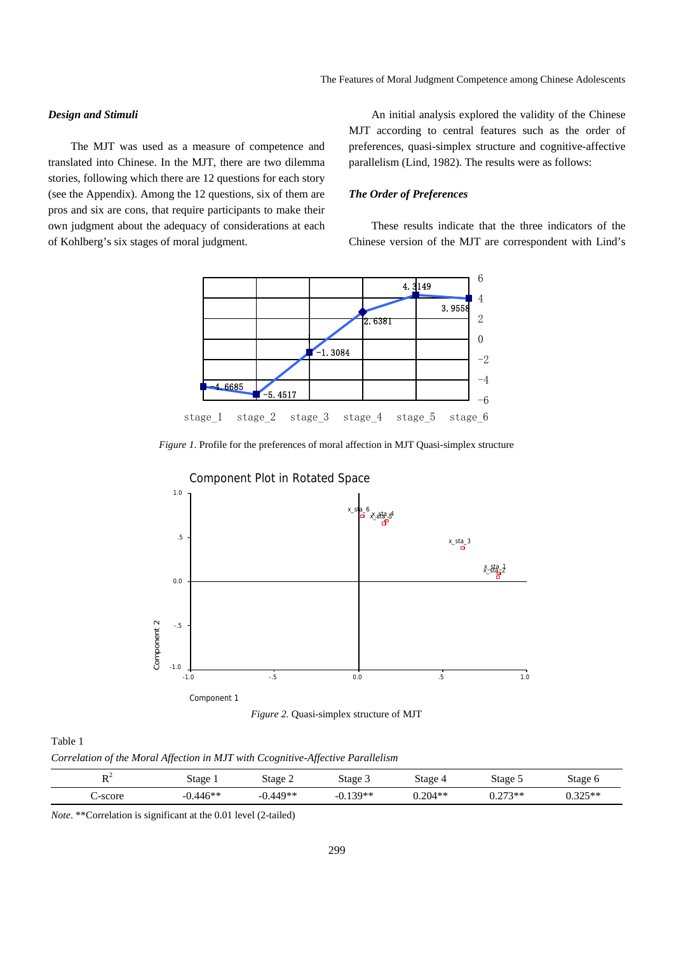### *Design and Stimuli*

The MJT was used as a measure of competence and translated into Chinese. In the MJT, there are two dilemma stories, following which there are 12 questions for each story (see the Appendix). Among the 12 questions, six of them are pros and six are cons, that require participants to make their own judgment about the adequacy of considerations at each of Kohlberg's six stages of moral judgment.

An initial analysis explored the validity of the Chinese MJT according to central features such as the order of preferences, quasi-simplex structure and cognitive-affective parallelism (Lind, 1982). The results were as follows:

### *The Order of Preferences*

These results indicate that the three indicators of the Chinese version of the MJT are correspondent with Lind's



*Figure 1*. Profile for the preferences of moral affection in MJT Quasi-simplex structure



*Figure 2.* Quasi-simplex structure of MJT

Table 1

*Correlation of the Moral Affection in MJT with Ccognitive-Affective Parallelism* 

| $\mathbf{D}$<br>. . | Stage  | Stage 2 | Stage 3 | stage     | Stage 5 | Stage ( |
|---------------------|--------|---------|---------|-----------|---------|---------|
| '-score             | $16**$ | 440**   | $20**$  | $0.204**$ | $772**$ | つつぐ**   |

*Note*. \*\*Correlation is significant at the 0.01 level (2-tailed)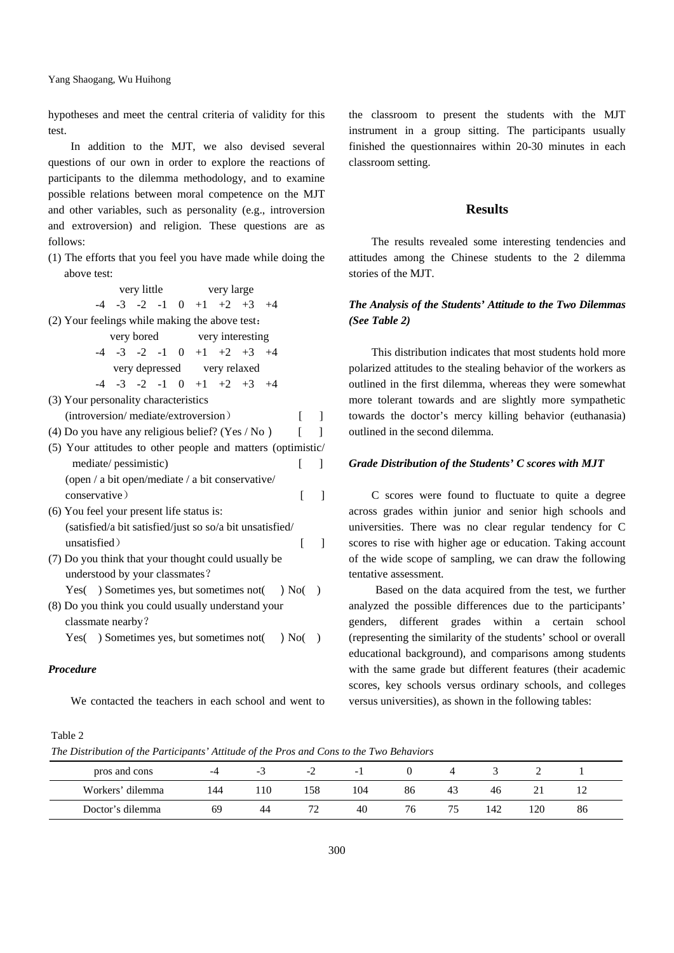hypotheses and meet the central criteria of validity for this test.

In addition to the MJT, we also devised several questions of our own in order to explore the reactions of participants to the dilemma methodology, and to examine possible relations between moral competence on the MJT and other variables, such as personality (e.g., introversion and extroversion) and religion. These questions are as follows:

(1) The efforts that you feel you have made while doing the above test:

|                                                             |                                                                          |  | very little very large |  |  |  |  |                                           |  |       |              |
|-------------------------------------------------------------|--------------------------------------------------------------------------|--|------------------------|--|--|--|--|-------------------------------------------|--|-------|--------------|
|                                                             |                                                                          |  |                        |  |  |  |  | $-4$ $-3$ $-2$ $-1$ 0 $+1$ $+2$ $+3$ $+4$ |  |       |              |
|                                                             | (2) Your feelings while making the above test:                           |  |                        |  |  |  |  |                                           |  |       |              |
|                                                             |                                                                          |  |                        |  |  |  |  | very bored very interesting               |  |       |              |
|                                                             |                                                                          |  |                        |  |  |  |  | $-4$ $-3$ $-2$ $-1$ 0 $+1$ $+2$ $+3$ $+4$ |  |       |              |
|                                                             |                                                                          |  |                        |  |  |  |  | very depressed very relaxed               |  |       |              |
|                                                             |                                                                          |  |                        |  |  |  |  | $-4$ $-3$ $-2$ $-1$ 0 $+1$ $+2$ $+3$ $+4$ |  |       |              |
|                                                             | (3) Your personality characteristics                                     |  |                        |  |  |  |  |                                           |  |       |              |
|                                                             | (introversion/mediate/extroversion)                                      |  |                        |  |  |  |  |                                           |  | L     | $\mathbf{I}$ |
|                                                             | (4) Do you have any religious belief? (Yes / No)                         |  |                        |  |  |  |  |                                           |  | ſ     | 1            |
| (5) Your attitudes to other people and matters (optimistic/ |                                                                          |  |                        |  |  |  |  |                                           |  |       |              |
|                                                             | mediate/pessimistic)                                                     |  |                        |  |  |  |  |                                           |  | L     | 1            |
|                                                             | (open / a bit open/mediate / a bit conservative/                         |  |                        |  |  |  |  |                                           |  |       |              |
|                                                             | conservative)                                                            |  |                        |  |  |  |  |                                           |  | ſ     | 1            |
|                                                             | (6) You feel your present life status is:                                |  |                        |  |  |  |  |                                           |  |       |              |
|                                                             | (satisfied/a bit satisfied/just so so/a bit unsatisfied/                 |  |                        |  |  |  |  |                                           |  |       |              |
|                                                             | unsatisfied)                                                             |  |                        |  |  |  |  |                                           |  | ſ     | 1            |
|                                                             | (7) Do you think that your thought could usually be                      |  |                        |  |  |  |  |                                           |  |       |              |
|                                                             | understood by your classmates?                                           |  |                        |  |  |  |  |                                           |  |       |              |
|                                                             | Yes( $\cdot$ ) Sometimes yes, but sometimes not( $\cdot$ ) No( $\cdot$ ) |  |                        |  |  |  |  |                                           |  |       |              |
|                                                             | (8) Do you think you could usually understand your                       |  |                        |  |  |  |  |                                           |  |       |              |
|                                                             | classmate nearby?                                                        |  |                        |  |  |  |  |                                           |  |       |              |
|                                                             | Yes() Sometimes yes, but sometimes not(                                  |  |                        |  |  |  |  |                                           |  | ) No( |              |
|                                                             |                                                                          |  |                        |  |  |  |  |                                           |  |       |              |

### *Procedure*

We contacted the teachers in each school and went to

the classroom to present the students with the MJT instrument in a group sitting. The participants usually finished the questionnaires within 20-30 minutes in each classroom setting.

### **Results**

The results revealed some interesting tendencies and attitudes among the Chinese students to the 2 dilemma stories of the MJT.

### *The Analysis of the Students' Attitude to the Two Dilemmas (See Table 2)*

This distribution indicates that most students hold more polarized attitudes to the stealing behavior of the workers as outlined in the first dilemma, whereas they were somewhat more tolerant towards and are slightly more sympathetic towards the doctor's mercy killing behavior (euthanasia) outlined in the second dilemma.

### *Grade Distribution of the Students' C scores with MJT*

C scores were found to fluctuate to quite a degree across grades within junior and senior high schools and universities. There was no clear regular tendency for C scores to rise with higher age or education. Taking account of the wide scope of sampling, we can draw the following tentative assessment.

Based on the data acquired from the test, we further analyzed the possible differences due to the participants' genders, different grades within a certain school (representing the similarity of the students' school or overall educational background), and comparisons among students with the same grade but different features (their academic scores, key schools versus ordinary schools, and colleges versus universities), as shown in the following tables:

### Table 2

*The Distribution of the Participants' Attitude of the Pros and Cons to the Two Behaviors* 

| pros and cons    |     | - 7 | $-L$ | - 1 |    |    |     |     |    |  |
|------------------|-----|-----|------|-----|----|----|-----|-----|----|--|
| Workers' dilemma | 144 | .10 | .58  | 104 | 86 | 43 | 46  |     |    |  |
| Doctor's dilemma | 69  | 44  |      | 40  | 76 |    | 142 | 120 | 86 |  |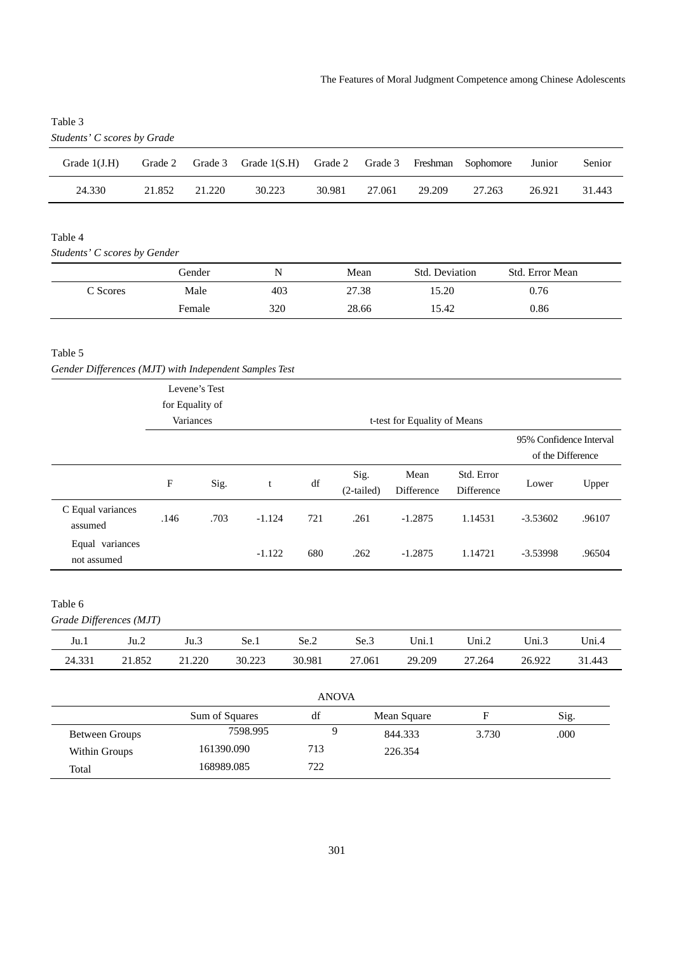| Students' C scores by Grade |         |        |                                                         |        |        |        |        |        |        |
|-----------------------------|---------|--------|---------------------------------------------------------|--------|--------|--------|--------|--------|--------|
| Grade $1(J.H)$              | Grade 2 |        | Grade 3 Grade 1(S.H) Grade 2 Grade 3 Freshman Sophomore |        |        |        |        | Junior | Senior |
| 24.330                      | 21.852  | 21.220 | 30.223                                                  | 30.981 | 27.061 | 29.209 | 27.263 | 26.921 | 31.443 |
|                             |         |        |                                                         |        |        |        |        |        |        |

# Table 3

### Table 4

*Students' C scores by Gender* 

|          | Gender | N   | Mean  | <b>Std. Deviation</b> | Std. Error Mean |  |
|----------|--------|-----|-------|-----------------------|-----------------|--|
| C Scores | Male   | 403 | 27.38 | 15.20                 | 0.76            |  |
|          | Female | 320 | 28.66 | 15.42                 | 0.86            |  |

### Table 5

*Gender Differences (MJT) with Independent Samples Test*

|                                    | for Equality of<br>Variances<br>F<br>Sig. |          |        |                      | t-test for Equality of Means |                          | 95% Confidence Interval |        |
|------------------------------------|-------------------------------------------|----------|--------|----------------------|------------------------------|--------------------------|-------------------------|--------|
|                                    |                                           |          |        |                      |                              |                          |                         |        |
|                                    |                                           |          |        |                      |                              |                          | of the Difference       |        |
|                                    |                                           | t        | df     | Sig.<br>$(2-tailed)$ | Mean<br>Difference           | Std. Error<br>Difference | Lower                   | Upper  |
| C Equal variances<br>assumed       | .703<br>.146                              | $-1.124$ | 721    | .261                 | $-1.2875$                    | 1.14531                  | $-3.53602$              | .96107 |
| Equal variances<br>not assumed     |                                           | $-1.122$ | 680    | .262                 | $-1.2875$                    | 1.14721                  | $-3.53998$              | .96504 |
| Table 6<br>Grade Differences (MJT) |                                           |          |        |                      |                              |                          |                         |        |
| Ju.1<br>Ju.2                       | Ju.3                                      | Se.1     | Se.2   | Se.3                 | Uni.1                        | Uni.2                    | Uni. $3$                | Uni.4  |
| 24.331<br>21.852                   | 21.220                                    | 30.223   | 30.981 | 27.061               | 29.209                       | 27.264                   | 26.922                  | 31.443 |

|                |                | <b>ANOVA</b> |             |       |      |
|----------------|----------------|--------------|-------------|-------|------|
|                | Sum of Squares | df           | Mean Square | F     | Sig. |
| Between Groups | 7598.995       |              | 844.333     | 3.730 | .000 |
| Within Groups  | 161390.090     | 713          | 226.354     |       |      |
| Total          | 168989.085     | 722          |             |       |      |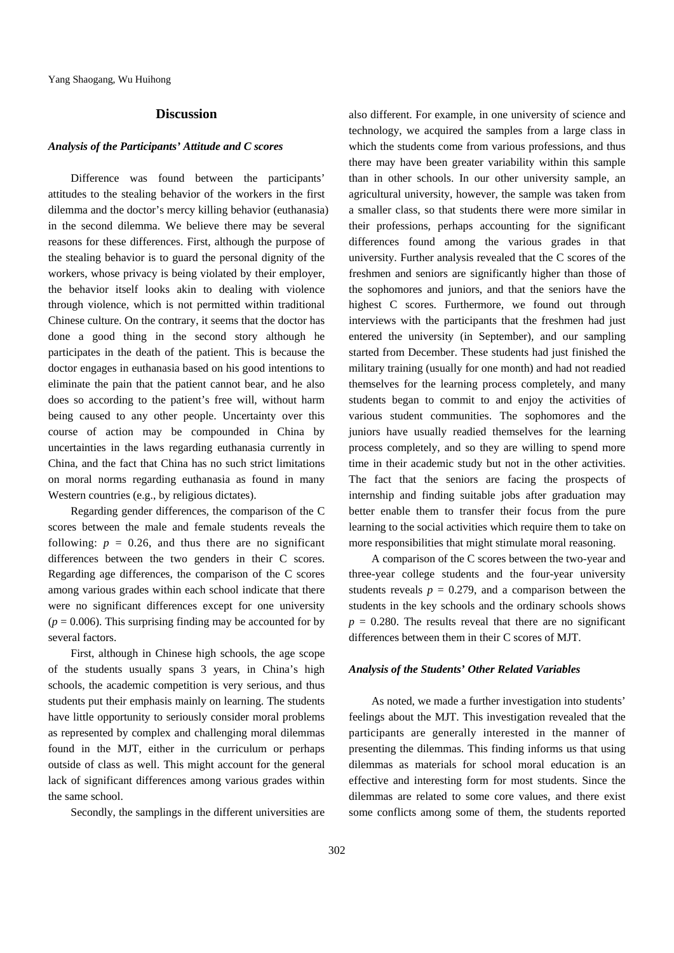### **Discussion**

#### *Analysis of the Participants' Attitude and C scores*

Difference was found between the participants' attitudes to the stealing behavior of the workers in the first dilemma and the doctor's mercy killing behavior (euthanasia) in the second dilemma. We believe there may be several reasons for these differences. First, although the purpose of the stealing behavior is to guard the personal dignity of the workers, whose privacy is being violated by their employer, the behavior itself looks akin to dealing with violence through violence, which is not permitted within traditional Chinese culture. On the contrary, it seems that the doctor has done a good thing in the second story although he participates in the death of the patient. This is because the doctor engages in euthanasia based on his good intentions to eliminate the pain that the patient cannot bear, and he also does so according to the patient's free will, without harm being caused to any other people. Uncertainty over this course of action may be compounded in China by uncertainties in the laws regarding euthanasia currently in China, and the fact that China has no such strict limitations on moral norms regarding euthanasia as found in many Western countries (e.g., by religious dictates).

Regarding gender differences, the comparison of the C scores between the male and female students reveals the following:  $p = 0.26$ , and thus there are no significant differences between the two genders in their C scores. Regarding age differences, the comparison of the C scores among various grades within each school indicate that there were no significant differences except for one university  $(p = 0.006)$ . This surprising finding may be accounted for by several factors.

First, although in Chinese high schools, the age scope of the students usually spans 3 years, in China's high schools, the academic competition is very serious, and thus students put their emphasis mainly on learning. The students have little opportunity to seriously consider moral problems as represented by complex and challenging moral dilemmas found in the MJT, either in the curriculum or perhaps outside of class as well. This might account for the general lack of significant differences among various grades within the same school.

Secondly, the samplings in the different universities are

also different. For example, in one university of science and technology, we acquired the samples from a large class in which the students come from various professions, and thus there may have been greater variability within this sample than in other schools. In our other university sample, an agricultural university, however, the sample was taken from a smaller class, so that students there were more similar in their professions, perhaps accounting for the significant differences found among the various grades in that university. Further analysis revealed that the C scores of the freshmen and seniors are significantly higher than those of the sophomores and juniors, and that the seniors have the highest C scores. Furthermore, we found out through interviews with the participants that the freshmen had just entered the university (in September), and our sampling started from December. These students had just finished the military training (usually for one month) and had not readied themselves for the learning process completely, and many students began to commit to and enjoy the activities of various student communities. The sophomores and the juniors have usually readied themselves for the learning process completely, and so they are willing to spend more time in their academic study but not in the other activities. The fact that the seniors are facing the prospects of internship and finding suitable jobs after graduation may better enable them to transfer their focus from the pure learning to the social activities which require them to take on more responsibilities that might stimulate moral reasoning.

A comparison of the C scores between the two-year and three-year college students and the four-year university students reveals  $p = 0.279$ , and a comparison between the students in the key schools and the ordinary schools shows  $p = 0.280$ . The results reveal that there are no significant differences between them in their C scores of MJT.

### *Analysis of the Students' Other Related Variables*

As noted, we made a further investigation into students' feelings about the MJT. This investigation revealed that the participants are generally interested in the manner of presenting the dilemmas. This finding informs us that using dilemmas as materials for school moral education is an effective and interesting form for most students. Since the dilemmas are related to some core values, and there exist some conflicts among some of them, the students reported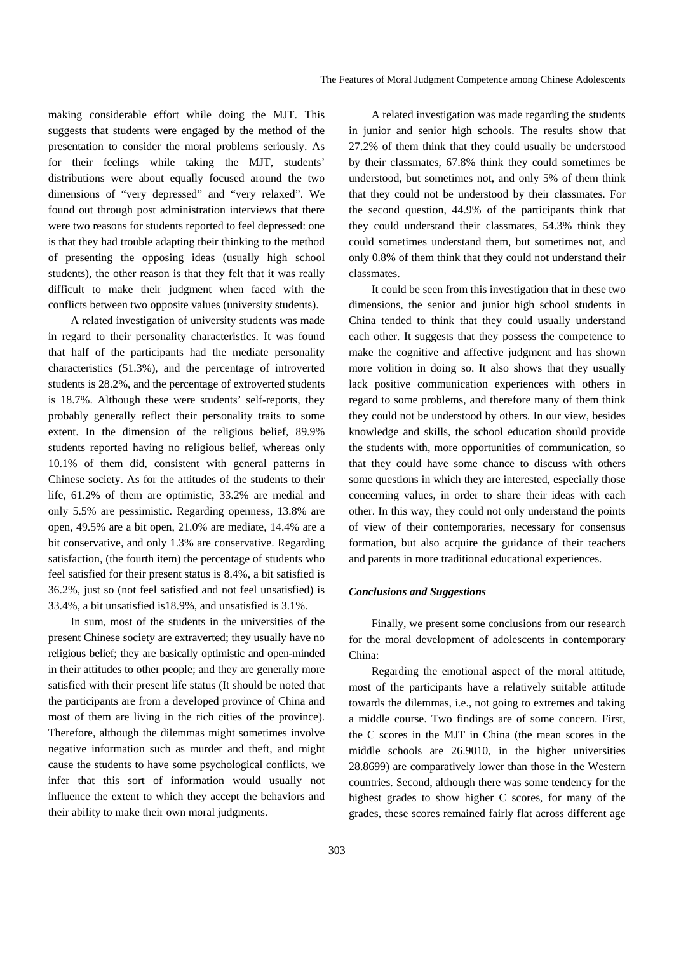making considerable effort while doing the MJT. This suggests that students were engaged by the method of the presentation to consider the moral problems seriously. As for their feelings while taking the MJT, students' distributions were about equally focused around the two dimensions of "very depressed" and "very relaxed". We found out through post administration interviews that there were two reasons for students reported to feel depressed: one is that they had trouble adapting their thinking to the method of presenting the opposing ideas (usually high school students), the other reason is that they felt that it was really difficult to make their judgment when faced with the conflicts between two opposite values (university students).

A related investigation of university students was made in regard to their personality characteristics. It was found that half of the participants had the mediate personality characteristics (51.3%), and the percentage of introverted students is 28.2%, and the percentage of extroverted students is 18.7%. Although these were students' self-reports, they probably generally reflect their personality traits to some extent. In the dimension of the religious belief, 89.9% students reported having no religious belief, whereas only 10.1% of them did, consistent with general patterns in Chinese society. As for the attitudes of the students to their life, 61.2% of them are optimistic, 33.2% are medial and only 5.5% are pessimistic. Regarding openness, 13.8% are open, 49.5% are a bit open, 21.0% are mediate, 14.4% are a bit conservative, and only 1.3% are conservative. Regarding satisfaction, (the fourth item) the percentage of students who feel satisfied for their present status is 8.4%, a bit satisfied is 36.2%, just so (not feel satisfied and not feel unsatisfied) is 33.4%, a bit unsatisfied is18.9%, and unsatisfied is 3.1%.

In sum, most of the students in the universities of the present Chinese society are extraverted; they usually have no religious belief; they are basically optimistic and open-minded in their attitudes to other people; and they are generally more satisfied with their present life status (It should be noted that the participants are from a developed province of China and most of them are living in the rich cities of the province). Therefore, although the dilemmas might sometimes involve negative information such as murder and theft, and might cause the students to have some psychological conflicts, we infer that this sort of information would usually not influence the extent to which they accept the behaviors and their ability to make their own moral judgments.

A related investigation was made regarding the students in junior and senior high schools. The results show that 27.2% of them think that they could usually be understood by their classmates, 67.8% think they could sometimes be understood, but sometimes not, and only 5% of them think that they could not be understood by their classmates. For the second question, 44.9% of the participants think that they could understand their classmates, 54.3% think they could sometimes understand them, but sometimes not, and only 0.8% of them think that they could not understand their classmates.

It could be seen from this investigation that in these two dimensions, the senior and junior high school students in China tended to think that they could usually understand each other. It suggests that they possess the competence to make the cognitive and affective judgment and has shown more volition in doing so. It also shows that they usually lack positive communication experiences with others in regard to some problems, and therefore many of them think they could not be understood by others. In our view, besides knowledge and skills, the school education should provide the students with, more opportunities of communication, so that they could have some chance to discuss with others some questions in which they are interested, especially those concerning values, in order to share their ideas with each other. In this way, they could not only understand the points of view of their contemporaries, necessary for consensus formation, but also acquire the guidance of their teachers and parents in more traditional educational experiences.

### *Conclusions and Suggestions*

Finally, we present some conclusions from our research for the moral development of adolescents in contemporary China:

Regarding the emotional aspect of the moral attitude, most of the participants have a relatively suitable attitude towards the dilemmas, i.e., not going to extremes and taking a middle course. Two findings are of some concern. First, the C scores in the MJT in China (the mean scores in the middle schools are 26.9010, in the higher universities 28.8699) are comparatively lower than those in the Western countries. Second, although there was some tendency for the highest grades to show higher C scores, for many of the grades, these scores remained fairly flat across different age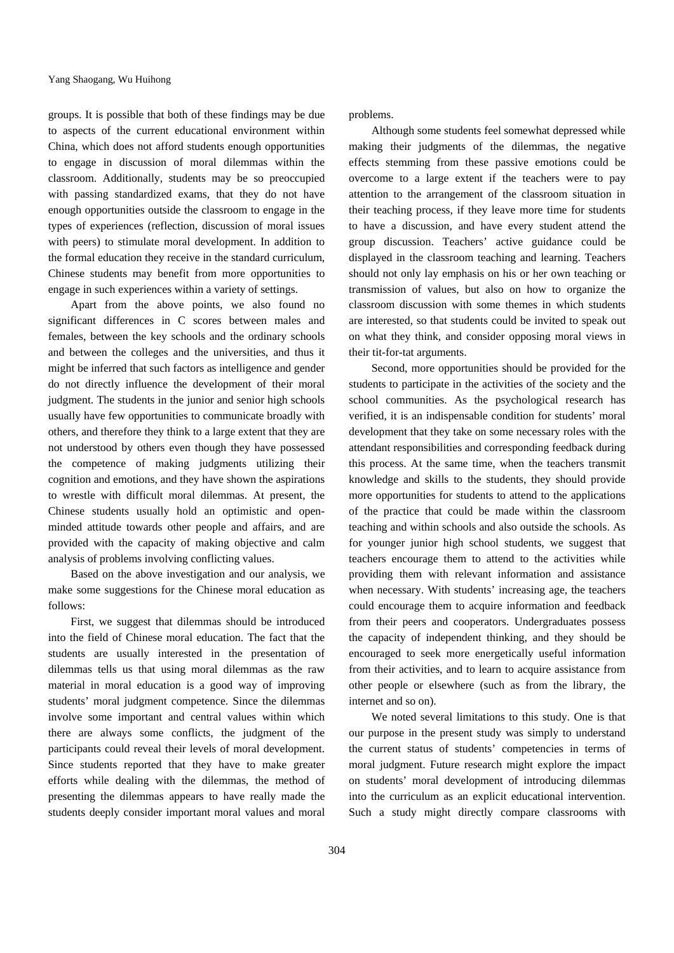groups. It is possible that both of these findings may be due to aspects of the current educational environment within China, which does not afford students enough opportunities to engage in discussion of moral dilemmas within the classroom. Additionally, students may be so preoccupied with passing standardized exams, that they do not have enough opportunities outside the classroom to engage in the types of experiences (reflection, discussion of moral issues with peers) to stimulate moral development. In addition to the formal education they receive in the standard curriculum, Chinese students may benefit from more opportunities to engage in such experiences within a variety of settings.

Apart from the above points, we also found no significant differences in C scores between males and females, between the key schools and the ordinary schools and between the colleges and the universities, and thus it might be inferred that such factors as intelligence and gender do not directly influence the development of their moral judgment. The students in the junior and senior high schools usually have few opportunities to communicate broadly with others, and therefore they think to a large extent that they are not understood by others even though they have possessed the competence of making judgments utilizing their cognition and emotions, and they have shown the aspirations to wrestle with difficult moral dilemmas. At present, the Chinese students usually hold an optimistic and openminded attitude towards other people and affairs, and are provided with the capacity of making objective and calm analysis of problems involving conflicting values.

Based on the above investigation and our analysis, we make some suggestions for the Chinese moral education as follows:

First, we suggest that dilemmas should be introduced into the field of Chinese moral education. The fact that the students are usually interested in the presentation of dilemmas tells us that using moral dilemmas as the raw material in moral education is a good way of improving students' moral judgment competence. Since the dilemmas involve some important and central values within which there are always some conflicts, the judgment of the participants could reveal their levels of moral development. Since students reported that they have to make greater efforts while dealing with the dilemmas, the method of presenting the dilemmas appears to have really made the students deeply consider important moral values and moral

problems.

Although some students feel somewhat depressed while making their judgments of the dilemmas, the negative effects stemming from these passive emotions could be overcome to a large extent if the teachers were to pay attention to the arrangement of the classroom situation in their teaching process, if they leave more time for students to have a discussion, and have every student attend the group discussion. Teachers' active guidance could be displayed in the classroom teaching and learning. Teachers should not only lay emphasis on his or her own teaching or transmission of values, but also on how to organize the classroom discussion with some themes in which students are interested, so that students could be invited to speak out on what they think, and consider opposing moral views in their tit-for-tat arguments.

Second, more opportunities should be provided for the students to participate in the activities of the society and the school communities. As the psychological research has verified, it is an indispensable condition for students' moral development that they take on some necessary roles with the attendant responsibilities and corresponding feedback during this process. At the same time, when the teachers transmit knowledge and skills to the students, they should provide more opportunities for students to attend to the applications of the practice that could be made within the classroom teaching and within schools and also outside the schools. As for younger junior high school students, we suggest that teachers encourage them to attend to the activities while providing them with relevant information and assistance when necessary. With students' increasing age, the teachers could encourage them to acquire information and feedback from their peers and cooperators. Undergraduates possess the capacity of independent thinking, and they should be encouraged to seek more energetically useful information from their activities, and to learn to acquire assistance from other people or elsewhere (such as from the library, the internet and so on).

We noted several limitations to this study. One is that our purpose in the present study was simply to understand the current status of students' competencies in terms of moral judgment. Future research might explore the impact on students' moral development of introducing dilemmas into the curriculum as an explicit educational intervention. Such a study might directly compare classrooms with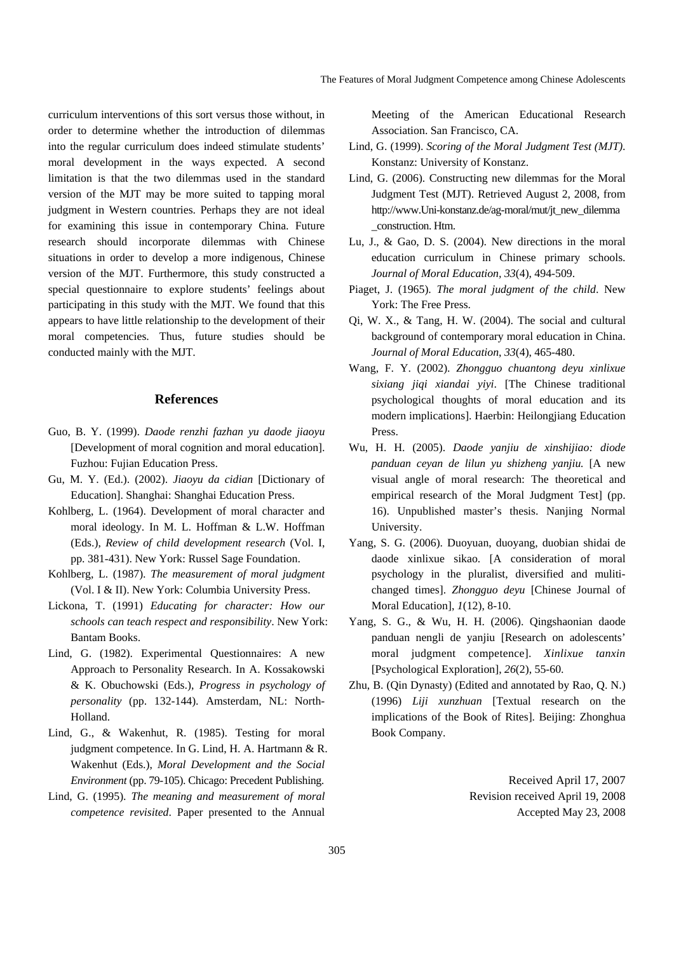curriculum interventions of this sort versus those without, in order to determine whether the introduction of dilemmas into the regular curriculum does indeed stimulate students' moral development in the ways expected. A second limitation is that the two dilemmas used in the standard version of the MJT may be more suited to tapping moral judgment in Western countries. Perhaps they are not ideal for examining this issue in contemporary China. Future research should incorporate dilemmas with Chinese situations in order to develop a more indigenous, Chinese version of the MJT. Furthermore, this study constructed a special questionnaire to explore students' feelings about participating in this study with the MJT. We found that this appears to have little relationship to the development of their moral competencies. Thus, future studies should be conducted mainly with the MJT.

### **References**

- Guo, B. Y. (1999). *Daode renzhi fazhan yu daode jiaoyu*  [Development of moral cognition and moral education]. Fuzhou: Fujian Education Press.
- Gu, M. Y. (Ed.). (2002). *Jiaoyu da cidian* [Dictionary of Education]. Shanghai: Shanghai Education Press.
- Kohlberg, L. (1964). Development of moral character and moral ideology. In M. L. Hoffman & L.W. Hoffman (Eds.), *Review of child development research* (Vol. I, pp. 381-431). New York: Russel Sage Foundation.
- Kohlberg, L. (1987). *The measurement of moral judgment* (Vol. I & II). New York: Columbia University Press.
- Lickona, T. (1991) *Educating for character: How our schools can teach respect and responsibility*. New York: Bantam Books.
- Lind, G. (1982). Experimental Questionnaires: A new Approach to Personality Research. In A. Kossakowski & K. Obuchowski (Eds.), *Progress in psychology of personality* (pp. 132-144). Amsterdam, NL: North-Holland.
- Lind, G., & Wakenhut, R. (1985). Testing for moral judgment competence. In G. Lind, H. A. Hartmann & R. Wakenhut (Eds.), *Moral Development and the Social Environment* (pp. 79-105). Chicago: Precedent Publishing.
- Lind, G. (1995). *The meaning and measurement of moral competence revisited*. Paper presented to the Annual

Meeting of the American Educational Research Association. San Francisco, CA.

- Lind, G. (1999). *Scoring of the Moral Judgment Test (MJT)*. Konstanz: University of Konstanz.
- Lind, G. (2006). Constructing new dilemmas for the Moral Judgment Test (MJT). Retrieved August 2, 2008, from http://www.Uni-konstanz.de/ag-moral/mut/jt\_new\_dilemma \_construction. Htm.
- Lu, J., & Gao, D. S. (2004). New directions in the moral education curriculum in Chinese primary schools. *Journal of Moral Education, 33*(4), 494-509.
- Piaget, J. (1965). *The moral judgment of the child*. New York: The Free Press.
- Qi, W. X., & Tang, H. W. (2004). The social and cultural background of contemporary moral education in China. *Journal of Moral Education*, *33*(4), 465-480.
- Wang, F. Y. (2002). *Zhongguo chuantong deyu xinlixue sixiang jiqi xiandai yiyi*. [The Chinese traditional psychological thoughts of moral education and its modern implications]. Haerbin: Heilongjiang Education Press.
- Wu, H. H. (2005). *Daode yanjiu de xinshijiao: diode panduan ceyan de lilun yu shizheng yanjiu.* [A new visual angle of moral research: The theoretical and empirical research of the Moral Judgment Test] (pp. 16). Unpublished master's thesis. Nanjing Normal University.
- Yang, S. G. (2006). Duoyuan, duoyang, duobian shidai de daode xinlixue sikao. [A consideration of moral psychology in the pluralist, diversified and mulitichanged times]. *Zhongguo deyu* [Chinese Journal of Moral Education], *1*(12), 8-10.
- Yang, S. G., & Wu, H. H. (2006). Qingshaonian daode panduan nengli de yanjiu [Research on adolescents' moral judgment competence]. *Xinlixue tanxin*  [Psychological Exploration], *26*(2), 55-60.
- Zhu, B. (Qin Dynasty) (Edited and annotated by Rao, Q. N.) (1996) *Liji xunzhuan* [Textual research on the implications of the Book of Rites]. Beijing: Zhonghua Book Company.

Received April 17, 2007 Revision received April 19, 2008 Accepted May 23, 2008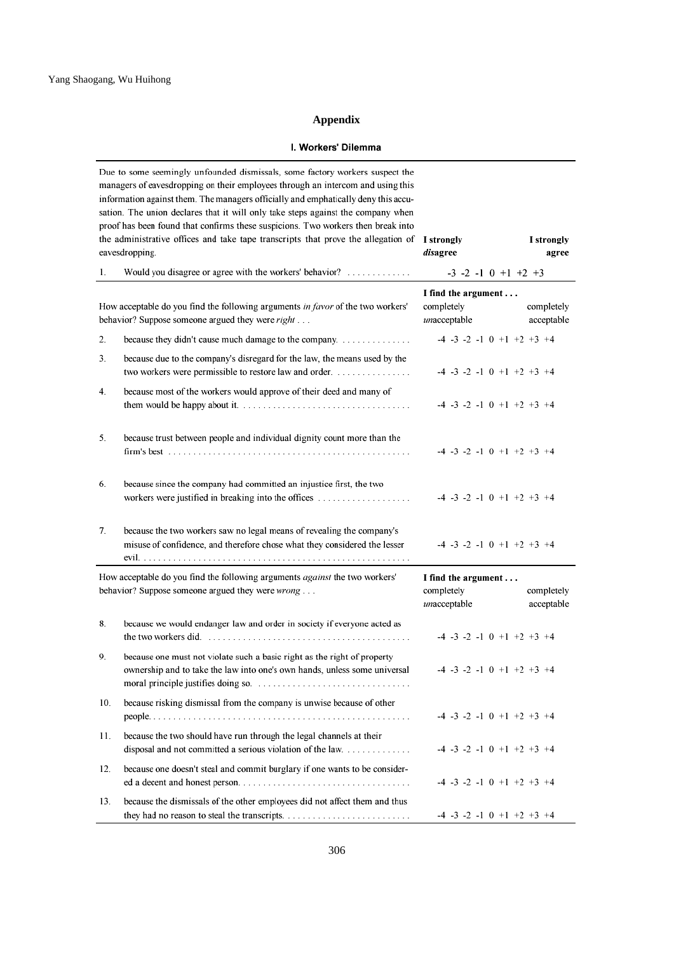### **Appendix**

### I. Workers' Dilemma

|     | Due to some seemingly unfounded dismissals, some factory workers suspect the<br>managers of eavesdropping on their employees through an intercom and using this<br>information against them. The managers officially and emphatically deny this accu-<br>sation. The union declares that it will only take steps against the company when<br>proof has been found that confirms these suspicions. Two workers then break into<br>the administrative offices and take tape transcripts that prove the allegation of<br>eavesdropping. | I strongly<br>disagree                            | I strongly<br>agree                       |
|-----|--------------------------------------------------------------------------------------------------------------------------------------------------------------------------------------------------------------------------------------------------------------------------------------------------------------------------------------------------------------------------------------------------------------------------------------------------------------------------------------------------------------------------------------|---------------------------------------------------|-------------------------------------------|
| 1.  | Would you disagree or agree with the workers' behavior?                                                                                                                                                                                                                                                                                                                                                                                                                                                                              |                                                   | $-3$ $-2$ $-1$ 0 $+1$ $+2$ $+3$           |
|     | How acceptable do you find the following arguments in favor of the two workers'<br>behavior? Suppose someone argued they were right                                                                                                                                                                                                                                                                                                                                                                                                  | I find the argument<br>completely<br>unacceptable | completely<br>acceptable                  |
| 2.  | because they didn't cause much damage to the company.                                                                                                                                                                                                                                                                                                                                                                                                                                                                                |                                                   | $-4$ $-3$ $-2$ $-1$ 0 $+1$ $+2$ $+3$ $+4$ |
| 3.  | because due to the company's disregard for the law, the means used by the<br>two workers were permissible to restore law and order.                                                                                                                                                                                                                                                                                                                                                                                                  |                                                   | $-4$ $-3$ $-2$ $-1$ 0 $+1$ $+2$ $+3$ $+4$ |
| 4.  | because most of the workers would approve of their deed and many of                                                                                                                                                                                                                                                                                                                                                                                                                                                                  |                                                   | $-4$ $-3$ $-2$ $-1$ 0 $+1$ $+2$ $+3$ $+4$ |
| 5.  | because trust between people and individual dignity count more than the                                                                                                                                                                                                                                                                                                                                                                                                                                                              |                                                   | $-4$ $-3$ $-2$ $-1$ 0 $+1$ $+2$ $+3$ $+4$ |
| 6.  | because since the company had committed an injustice first, the two<br>workers were justified in breaking into the offices                                                                                                                                                                                                                                                                                                                                                                                                           |                                                   | $-4$ $-3$ $-2$ $-1$ 0 $+1$ $+2$ $+3$ $+4$ |
| 7.  | because the two workers saw no legal means of revealing the company's<br>misuse of confidence, and therefore chose what they considered the lesser                                                                                                                                                                                                                                                                                                                                                                                   |                                                   | $-4$ $-3$ $-2$ $-1$ 0 $+1$ $+2$ $+3$ $+4$ |
|     | How acceptable do you find the following arguments <i>against</i> the two workers'<br>behavior? Suppose someone argued they were wrong                                                                                                                                                                                                                                                                                                                                                                                               | I find the argument<br>completely<br>unacceptable | completely<br>acceptable                  |
| 8.  | because we would endanger law and order in society if everyone acted as                                                                                                                                                                                                                                                                                                                                                                                                                                                              |                                                   | $-4$ $-3$ $-2$ $-1$ 0 $+1$ $+2$ $+3$ $+4$ |
| 9.  | because one must not violate such a basic right as the right of property<br>ownership and to take the law into one's own hands, unless some universal                                                                                                                                                                                                                                                                                                                                                                                |                                                   | $-4$ $-3$ $-2$ $-1$ 0 $+1$ $+2$ $+3$ $+4$ |
| 10. | because risking dismissal from the company is unwise because of other                                                                                                                                                                                                                                                                                                                                                                                                                                                                |                                                   | $-4$ $-3$ $-2$ $-1$ 0 $+1$ $+2$ $+3$ $+4$ |
| 11. | because the two should have run through the legal channels at their<br>disposal and not committed a serious violation of the law.                                                                                                                                                                                                                                                                                                                                                                                                    |                                                   | $-4$ $-3$ $-2$ $-1$ 0 $+1$ $+2$ $+3$ $+4$ |
| 12. | because one doesn't steal and commit burglary if one wants to be consider-                                                                                                                                                                                                                                                                                                                                                                                                                                                           |                                                   | $-4$ $-3$ $-2$ $-1$ 0 $+1$ $+2$ $+3$ $+4$ |
| 13. | because the dismissals of the other employees did not affect them and thus                                                                                                                                                                                                                                                                                                                                                                                                                                                           |                                                   | $-4$ $-3$ $-2$ $-1$ 0 $+1$ $+2$ $+3$ $+4$ |